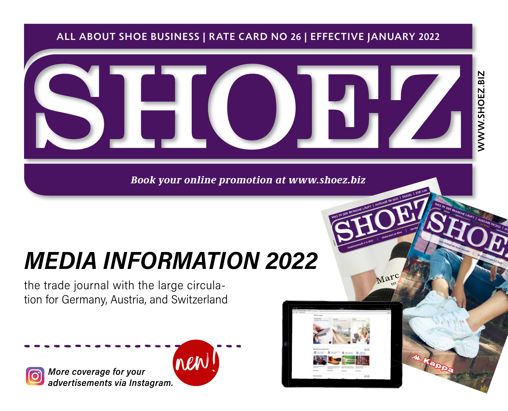#### ALL ABOUT SHOE BUSINESS | RATE CARD NO 26 | EFFECTIVE JANUARY 2022



*Book your online promotion at www.shoez.biz*

# *MEDIA INFORMATION 2022*

the trade journal with the large circulation for Germany, Austria, and Switzerland

 *advertisements via Instagram. More coverage for your* 





ANZEIGE

*Fashiontrends F / S 2022*

WAS IN DER BRANCHE LÄUFT | AUSGABE 09/2021 | DER LÄUFT | AUSGABE 09/2021 | DER LÄUFT | AUSGABE 09/2021 | EUR 5

*Orderstart in Riva*

Hochw<sup>as</sup>

WAS IN DER BRANCHE LÄUFT | AUSGABE 09/2021 | DS

*Was bringt die neue Saison?*

*Taschentrends F/S 2022*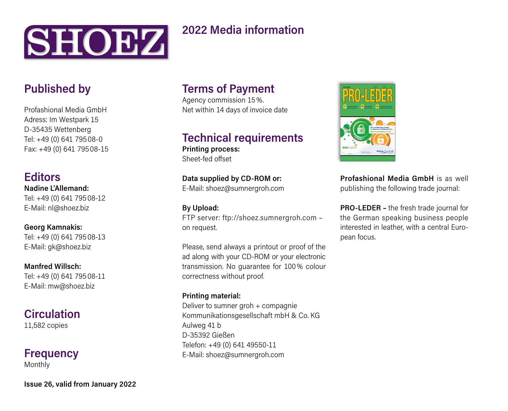

## **2022 Media information**

## **Published by**

Profashional Media GmbH Adress: Im Westpark 15 D-35435 Wettenberg Tel: +49 (0) 641 795 08-0 Fax: +49 (0) 641 795 08-15

#### **Editors**

**Nadine L'Allemand:**  Tel: +49 (0) 641 795 08-12 E-Mail: nl@shoez.biz

**Georg Kamnakis:**  Tel: +49 (0) 641 795 08-13 E-Mail: gk@shoez.biz

**Manfred Willsch:**  Tel: +49 (0) 641 795 08-11 E-Mail: mw@shoez.biz

**Circulation** 11,582 copies

# **Frequency**

Monthly

**Issue 26, valid from January 2022**

# **Terms of Payment**

Agency commission 15 %. Net within 14 days of invoice date

#### **Technical requirements**

**Printing process:** Sheet-fed offset

**Data supplied by CD-ROM or:** E-Mail: shoez@sumnergroh.com

**By Upload:** FTP server: ftp://shoez.sumnergroh.com – on request.

Please, send always a printout or proof of the ad along with your CD-ROM or your electronic transmission. No guarantee for 100 % colour correctness without proof.

#### **Printing material:**

Deliver to sumner groh + compagnie Kommunikationsgesellschaft mbH & Co. KG Aulweg 41 b D-35392 Gießen Telefon: +49 (0) 641 49550-11 E-Mail: shoez@sumnergroh.com



**Profashional Media GmbH** is as well publishing the following trade journal:

**PRO-LEDER –** the fresh trade journal for the German speaking business people interested in leather, with a central European focus.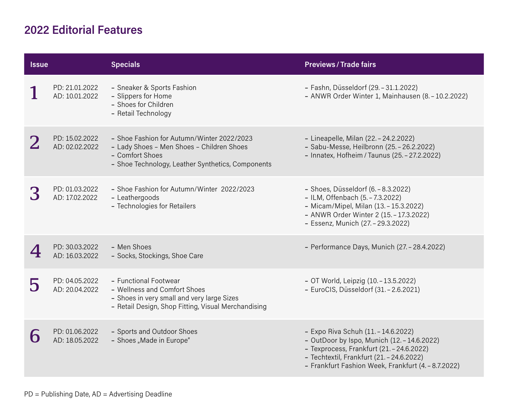## **2022 Editorial Features**

| <b>Issue</b> |                                  | <b>Specials</b>                                                                                                                                                 | <b>Previews/Trade fairs</b>                                                                                                                                                                                                         |
|--------------|----------------------------------|-----------------------------------------------------------------------------------------------------------------------------------------------------------------|-------------------------------------------------------------------------------------------------------------------------------------------------------------------------------------------------------------------------------------|
|              | PD: 21.01.2022<br>AD: 10.01.2022 | - Sneaker & Sports Fashion<br>- Slippers for Home<br>- Shoes for Children<br>- Retail Technology                                                                | - Fashn, Düsseldorf (29. - 31.1.2022)<br>- ANWR Order Winter 1, Mainhausen (8. - 10.2.2022)                                                                                                                                         |
|              | PD: 15.02.2022<br>AD: 02.02.2022 | - Shoe Fashion for Autumn/Winter 2022/2023<br>- Lady Shoes - Men Shoes - Children Shoes<br>- Comfort Shoes<br>- Shoe Technology, Leather Synthetics, Components | - Lineapelle, Milan (22. - 24.2.2022)<br>- Sabu-Messe, Heilbronn (25. - 26.2.2022)<br>- Innatex, Hofheim / Taunus (25. - 27.2.2022)                                                                                                 |
|              | PD: 01.03.2022<br>AD: 17.02.2022 | - Shoe Fashion for Autumn/Winter 2022/2023<br>- Leathergoods<br>- Technologies for Retailers                                                                    | - Shoes, Düsseldorf (6. - 8.3.2022)<br>- ILM, Offenbach (5. - 7.3.2022)<br>- Micam/Mipel, Milan (13. - 15.3.2022)<br>- ANWR Order Winter 2 (15. - 17.3.2022)<br>- Essenz, Munich (27. - 29.3.2022)                                  |
|              | PD: 30.03.2022<br>AD: 16.03.2022 | - Men Shoes<br>- Socks, Stockings, Shoe Care                                                                                                                    | - Performance Days, Munich (27. - 28.4.2022)                                                                                                                                                                                        |
| 5            | PD: 04.05.2022<br>AD: 20.04.2022 | - Functional Footwear<br>- Wellness and Comfort Shoes<br>- Shoes in very small and very large Sizes<br>- Retail Design, Shop Fitting, Visual Merchandising      | - OT World, Leipzig (10. - 13.5.2022)<br>- EuroCIS, Düsseldorf (31. - 2.6.2021)                                                                                                                                                     |
|              | PD: 01.06.2022<br>AD: 18.05.2022 | - Sports and Outdoor Shoes<br>- Shoes "Made in Europe"                                                                                                          | - Expo Riva Schuh (11. - 14.6.2022)<br>- OutDoor by Ispo, Munich (12. - 14.6.2022)<br>- Texprocess, Frankfurt (21. - 24.6.2022)<br>- Techtextil, Frankfurt (21. - 24.6.2022)<br>- Frankfurt Fashion Week, Frankfurt (4. - 8.7.2022) |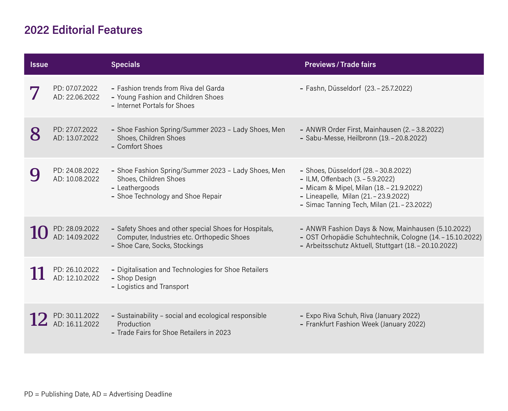## **2022 Editorial Features**

| <b>Issue</b> |                                  | <b>Specials</b>                                                                                                                      | <b>Previews / Trade fairs</b>                                                                                                                                                                                 |
|--------------|----------------------------------|--------------------------------------------------------------------------------------------------------------------------------------|---------------------------------------------------------------------------------------------------------------------------------------------------------------------------------------------------------------|
|              | PD: 07.07.2022<br>AD: 22.06.2022 | - Fashion trends from Riva del Garda<br>- Young Fashion and Children Shoes<br>- Internet Portals for Shoes                           | - Fashn, Düsseldorf (23. - 25.7.2022)                                                                                                                                                                         |
|              | PD: 27.07.2022<br>AD: 13.07.2022 | - Shoe Fashion Spring/Summer 2023 - Lady Shoes, Men<br>Shoes, Children Shoes<br>- Comfort Shoes                                      | - ANWR Order First, Mainhausen (2. - 3.8.2022)<br>- Sabu-Messe, Heilbronn (19. - 20.8.2022)                                                                                                                   |
|              | PD: 24.08.2022<br>AD: 10.08.2022 | - Shoe Fashion Spring/Summer 2023 - Lady Shoes, Men<br>Shoes, Children Shoes<br>- Leathergoods<br>- Shoe Technology and Shoe Repair  | - Shoes, Düsseldorf (28. - 30.8.2022)<br>- ILM, Offenbach (3. - 5.9.2022)<br>- Micam & Mipel, Milan (18. - 21.9.2022)<br>- Lineapelle, Milan (21. - 23.9.2022)<br>- Simac Tanning Tech, Milan (21. - 23.2022) |
|              | PD: 28.09.2022<br>AD: 14.09.2022 | - Safety Shoes and other special Shoes for Hospitals,<br>Computer, Industries etc. Orthopedic Shoes<br>- Shoe Care, Socks, Stockings | - ANWR Fashion Days & Now, Mainhausen (5.10.2022)<br>- OST Orhopädie Schuhtechnik, Cologne (14. - 15.10.2022)<br>- Arbeitsschutz Aktuell, Stuttgart (18. - 20.10.2022)                                        |
|              | PD: 26.10.2022<br>AD: 12.10.2022 | - Digitalisation and Technologies for Shoe Retailers<br>- Shop Design<br>- Logistics and Transport                                   |                                                                                                                                                                                                               |
|              | PD: 30.11.2022<br>AD: 16.11.2022 | - Sustainability - social and ecological responsible<br>Production<br>- Trade Fairs for Shoe Retailers in 2023                       | - Expo Riva Schuh, Riva (January 2022)<br>- Frankfurt Fashion Week (January 2022)                                                                                                                             |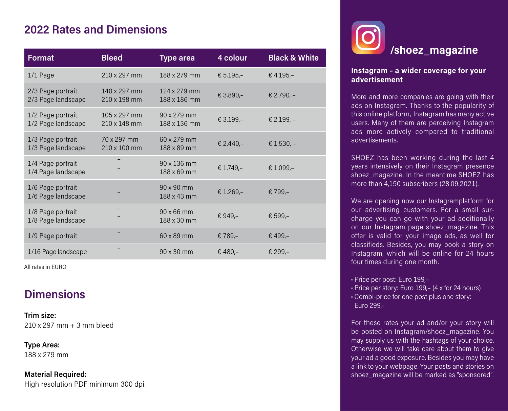## **2022 Rates and Dimensions**

| Format                                  | <b>Bleed</b>                 | <b>Type area</b>                 | 4 colour    | <b>Black &amp; White</b> |
|-----------------------------------------|------------------------------|----------------------------------|-------------|--------------------------|
| $1/1$ Page                              | 210 x 297 mm                 | 188 x 279 mm                     | € $5.195 -$ | € 4.195,-                |
| 2/3 Page portrait<br>2/3 Page landscape | 140 x 297 mm<br>210 x 198 mm | 124 x 279 mm<br>188 x 186 mm     | € 3.890,-   | € 2.790, $-$             |
| 1/2 Page portrait<br>1/2 Page landscape | 105 x 297 mm<br>210 x 148 mm | 90 x 279 mm<br>188 x 136 mm      | € 3.199,-   | € 2.199, -               |
| 1/3 Page portrait<br>1/3 Page landscape | 70 x 297 mm<br>210 x 100 mm  | 60 x 279 mm<br>188 x 89 mm       | € 2.440,-   | € 1.530, $-$             |
| 1/4 Page portrait<br>1/4 Page landscape |                              | 90 x 136 mm<br>188 x 69 mm       | € 1.749,-   | € 1.099,-                |
| 1/6 Page portrait<br>1/6 Page landscape |                              | 90 x 90 mm<br>188 x 43 mm        | € 1.269,-   | € 799,-                  |
| 1/8 Page portrait<br>1/8 Page landscape |                              | $90 \times 66$ mm<br>188 x 30 mm | € 949,–     | € 599,-                  |
| 1/9 Page portrait                       |                              | $60 \times 89$ mm                | € 789,–     | € 499,-                  |
| 1/16 Page landscape                     |                              | 90 x 30 mm                       | € 480,-     | € 299,-                  |

All rates in EURO

## **Dimensions**

**Trim size:**  210 x 297 mm + 3 mm bleed

**Type Area:**  188 x 279 mm

**Material Required:** High resolution PDF minimum 300 dpi.



#### **Instagram – a wider coverage for your advertisement**

More and more companies are going with their ads on Instagram. Thanks to the popularity of this online platform, Instagram has many active users. Many of them are perceiving Instagram ads more actively compared to traditional advertisements.

SHOEZ has been working during the last 4 years intensively on their Instagram presence shoez\_magazine. In the meantime SHOEZ has more than 4,150 subscribers (28.09.2021).

We are opening now our Instagramplatform for our advertising customers. For a small surcharge you can go with your ad additionally on our Instagram page shoez\_magazine. This offer is valid for your image ads, as well for classifieds. Besides, you may book a story on Instagram, which will be online for 24 hours four times during one month.

- **·** Price per post: Euro 199,–
- **·** Price per story: Euro 199,– (4 x for 24 hours)
- **·** Combi-price for one post plus one story: Euro 299,-

For these rates your ad and/or your story will be posted on Instagram/shoez\_magazine. You may supply us with the hashtags of your choice. Otherwise we will take care about them to give your ad a good exposure. Besides you may have a link to your webpage. Your posts and stories on shoez\_magazine will be marked as "sponsored".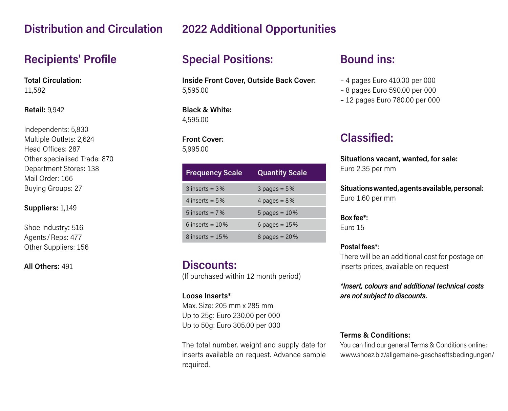## **Distribution and Circulation**

## **Recipients' Profile**

**Total Circulation:**  11,582

#### **Retail:** 9,942

Independents: 5,830 Multiple Outlets: 2,624 Head Offices: 287 Other specialised Trade: 870 Department Stores: 138 Mail Order: 166 Buying Groups: 27

**Suppliers:** 1,149

Shoe Industry**:** 516 Agents / Reps: 477 Other Suppliers: 156

**All Others:** 491

## **2022 Additional Opportunities**

# **Special Positions:**

**Inside Front Cover, Outside Back Cover:** 5,595.00

**Black & White:** 4,595.00

**Front Cover:** 5,995.00

| <b>Frequency Scale</b> | <b>Quantity Scale</b> |
|------------------------|-----------------------|
| $3$ inserts = $3\%$    | $3$ pages = $5%$      |
| 4 inserts $= 5\%$      | 4 pages = $8\%$       |
| 5 inserts $= 7\%$      | $5$ pages = $10\%$    |
| 6 inserts = $10\%$     | 6 pages = $15%$       |
| $8$ inserts = $15\%$   | 8 pages = $20%$       |

#### **Discounts:**

(If purchased within 12 month period)

#### **Loose Inserts\***

Max. Size: 205 mm x 285 mm. Up to 25g: Euro 230.00 per 000 Up to 50g: Euro 305.00 per 000

The total number, weight and supply date for inserts available on request. Advance sample required.

# **Bound ins:**

- 4 pages Euro 410.00 per 000
- 8 pages Euro 590.00 per 000
- 12 pages Euro 780.00 per 000

# **Classified:**

**Situations vacant, wanted, for sale:** Euro 2.35 per mm

**Situations wanted, agents available, personal:** Euro 1.60 per mm

**Box fee\*:** Euro 15

#### **Postal fees\***:

There will be an additional cost for postage on inserts prices, available on request

*\*Insert, colours and additional technical costs are not subject to discounts.*

#### **Terms & Conditions:**

You can find our general Terms & Conditions online: www.shoez.biz/allgemeine-geschaeftsbedingungen/